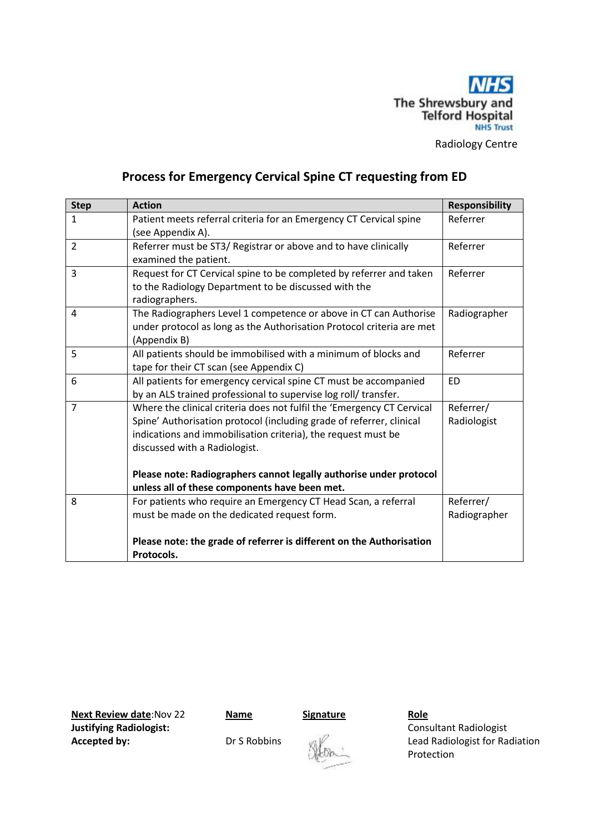

Radiology Centre

# **Process for Emergency Cervical Spine CT requesting from ED**

| <b>Step</b>    | <b>Action</b>                                                                                                                                                                                                                                    | <b>Responsibility</b>     |
|----------------|--------------------------------------------------------------------------------------------------------------------------------------------------------------------------------------------------------------------------------------------------|---------------------------|
| $\mathbf{1}$   | Patient meets referral criteria for an Emergency CT Cervical spine<br>(see Appendix A).                                                                                                                                                          | Referrer                  |
| $\overline{2}$ | Referrer must be ST3/ Registrar or above and to have clinically<br>examined the patient.                                                                                                                                                         | Referrer                  |
| 3              | Request for CT Cervical spine to be completed by referrer and taken<br>to the Radiology Department to be discussed with the<br>radiographers.                                                                                                    | Referrer                  |
| 4              | The Radiographers Level 1 competence or above in CT can Authorise<br>under protocol as long as the Authorisation Protocol criteria are met<br>(Appendix B)                                                                                       | Radiographer              |
| 5              | All patients should be immobilised with a minimum of blocks and<br>tape for their CT scan (see Appendix C)                                                                                                                                       | Referrer                  |
| 6              | All patients for emergency cervical spine CT must be accompanied<br>by an ALS trained professional to supervise log roll/ transfer.                                                                                                              | <b>ED</b>                 |
| $\overline{7}$ | Where the clinical criteria does not fulfil the 'Emergency CT Cervical<br>Spine' Authorisation protocol (including grade of referrer, clinical<br>indications and immobilisation criteria), the request must be<br>discussed with a Radiologist. | Referrer/<br>Radiologist  |
|                | Please note: Radiographers cannot legally authorise under protocol<br>unless all of these components have been met.                                                                                                                              |                           |
| 8              | For patients who require an Emergency CT Head Scan, a referral<br>must be made on the dedicated request form.                                                                                                                                    | Referrer/<br>Radiographer |
|                | Please note: the grade of referrer is different on the Authorisation<br>Protocols.                                                                                                                                                               |                           |

**Next Review date:Nov 22 Name Signature Role Justifying Radiologist:**  $\qquad \qquad$  **Consultant Radiologist** 

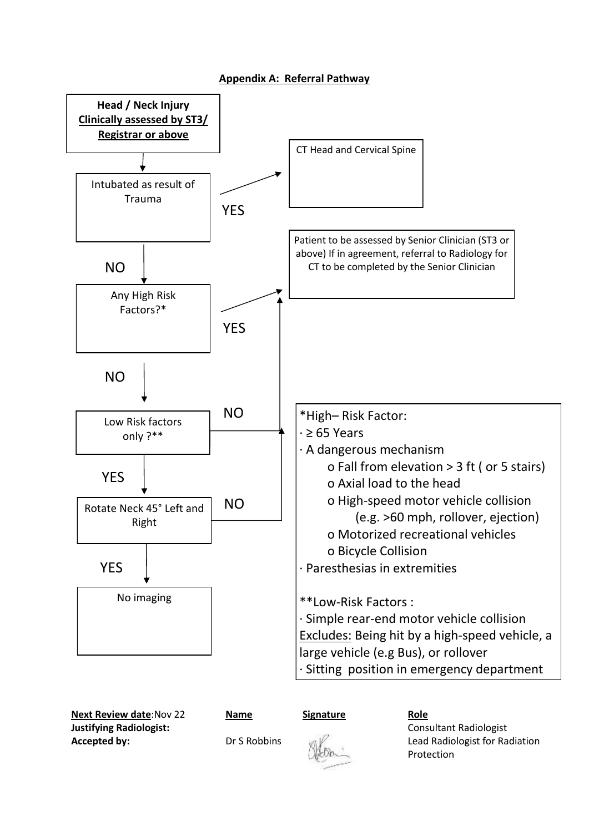# **Appendix A: Referral Pathway**



**Next Review date:Nov 22 Name** Signature Role **Justifying Radiologist:** Consultant Radiologist



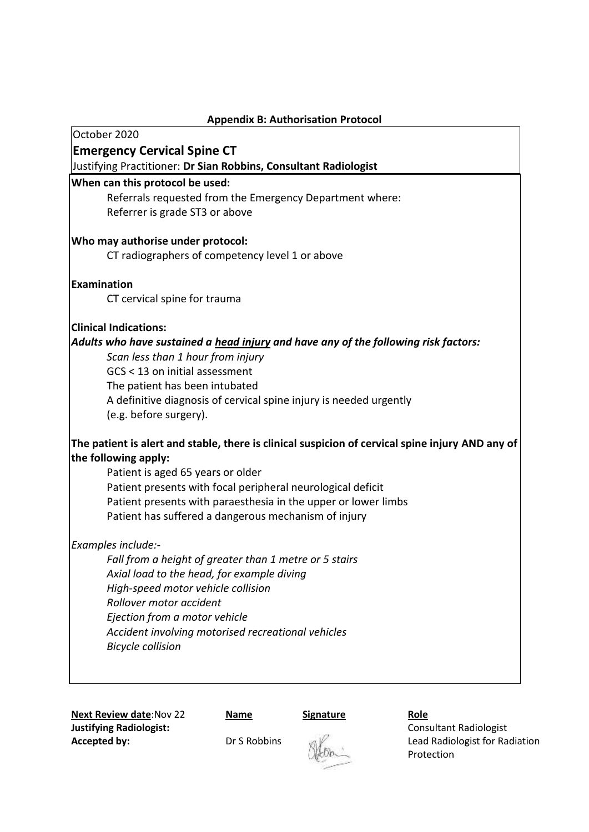| <b>Appendix B: Authorisation Protocol</b>                                                            |  |  |
|------------------------------------------------------------------------------------------------------|--|--|
| October 2020                                                                                         |  |  |
| <b>Emergency Cervical Spine CT</b>                                                                   |  |  |
| Justifying Practitioner: Dr Sian Robbins, Consultant Radiologist                                     |  |  |
| When can this protocol be used:                                                                      |  |  |
| Referrals requested from the Emergency Department where:                                             |  |  |
| Referrer is grade ST3 or above                                                                       |  |  |
| Who may authorise under protocol:                                                                    |  |  |
| CT radiographers of competency level 1 or above                                                      |  |  |
| Examination                                                                                          |  |  |
| CT cervical spine for trauma                                                                         |  |  |
| <b>Clinical Indications:</b>                                                                         |  |  |
| Adults who have sustained a head injury and have any of the following risk factors:                  |  |  |
| Scan less than 1 hour from injury                                                                    |  |  |
| GCS < 13 on initial assessment                                                                       |  |  |
| The patient has been intubated<br>A definitive diagnosis of cervical spine injury is needed urgently |  |  |
| (e.g. before surgery).                                                                               |  |  |
| The patient is alert and stable, there is clinical suspicion of cervical spine injury AND any of     |  |  |
| the following apply:                                                                                 |  |  |
| Patient is aged 65 years or older                                                                    |  |  |
| Patient presents with focal peripheral neurological deficit                                          |  |  |
| Patient presents with paraesthesia in the upper or lower limbs                                       |  |  |
| Patient has suffered a dangerous mechanism of injury                                                 |  |  |
| Examples include:-                                                                                   |  |  |
| Fall from a height of greater than 1 metre or 5 stairs                                               |  |  |
| Axial load to the head, for example diving                                                           |  |  |
| High-speed motor vehicle collision                                                                   |  |  |
| Rollover motor accident<br>Ejection from a motor vehicle                                             |  |  |
| Accident involving motorised recreational vehicles                                                   |  |  |
| <b>Bicycle collision</b>                                                                             |  |  |
|                                                                                                      |  |  |
|                                                                                                      |  |  |

**Next Review date:Nov 22 Name Signature Role Role Radiologist Justifying Radiologist Justifying Radiologist:**<br>**Accepted by:** Dr S Robbins

Lead Radiologist for Radiation Protection

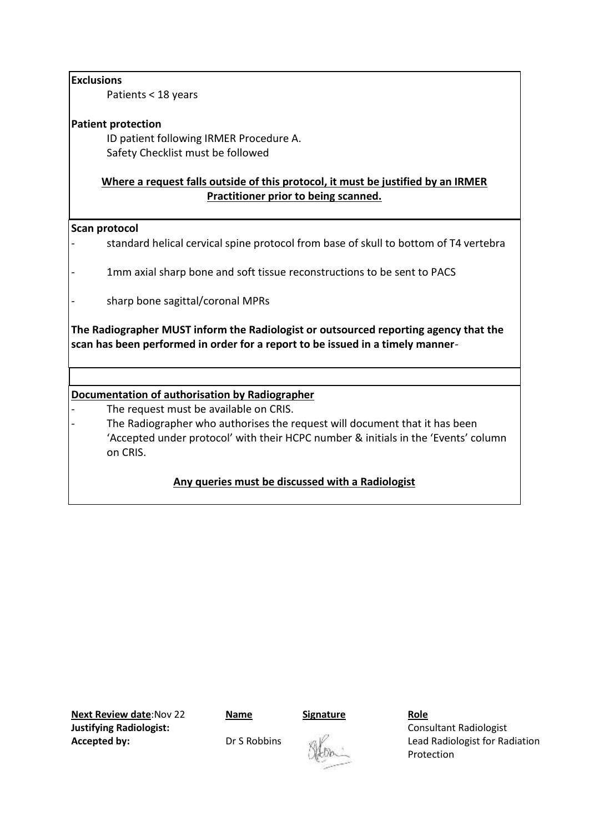# **Exclusions**

Patients < 18 years

# **Patient protection**

ID patient following IRMER Procedure A. Safety Checklist must be followed

# **Where a request falls outside of this protocol, it must be justified by an IRMER Practitioner prior to being scanned.**

### **Scan protocol**

- standard helical cervical spine protocol from base of skull to bottom of T4 vertebra
- 1mm axial sharp bone and soft tissue reconstructions to be sent to PACS
- sharp bone sagittal/coronal MPRs

**The Radiographer MUST inform the Radiologist or outsourced reporting agency that the scan has been performed in order for a report to be issued in a timely manner**-

# **Documentation of authorisation by Radiographer**

- The request must be available on CRIS.
- The Radiographer who authorises the request will document that it has been 'Accepted under protocol' with their HCPC number & initials in the 'Events' column on CRIS.

# **Any queries must be discussed with a Radiologist**

**Next Review date:Nov 22 Name** Signature Role **Justifying Radiologist:** Consultant Radiologist